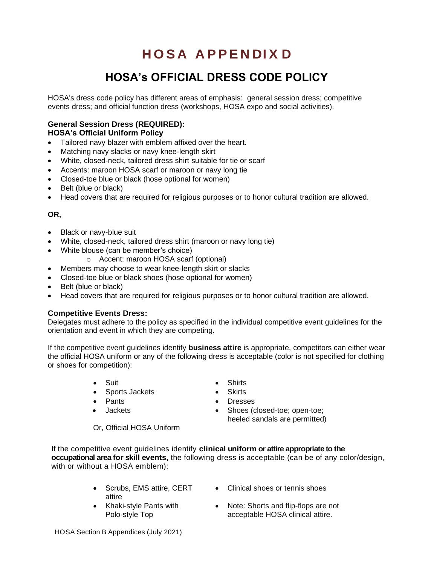# **H O S A A P P E N DI X D**

## **HOSA's OFFICIAL DRESS CODE POLICY**

HOSA's dress code policy has different areas of emphasis: general session dress; competitive events dress; and official function dress (workshops, HOSA expo and social activities).

### **General Session Dress (REQUIRED):**

**HOSA's Official Uniform Policy** 

- Tailored navy blazer with emblem affixed over the heart.
- Matching navy slacks or navy knee-length skirt
- White, closed-neck, tailored dress shirt suitable for tie or scarf
- Accents: maroon HOSA scarf or maroon or navy long tie
- Closed-toe blue or black (hose optional for women)
- Belt (blue or black)
- Head covers that are required for religious purposes or to honor cultural tradition are allowed.

#### **OR,**

- Black or navy-blue suit
- White, closed-neck, tailored dress shirt (maroon or navy long tie)
- White blouse (can be member's choice)
	- o Accent: maroon HOSA scarf (optional)
- Members may choose to wear knee-length skirt or slacks
- Closed-toe blue or black shoes (hose optional for women)
- Belt (blue or black)
- Head covers that are required for religious purposes or to honor cultural tradition are allowed.

#### **Competitive Events Dress:**

Delegates must adhere to the policy as specified in the individual competitive event guidelines for the orientation and event in which they are competing.

If the competitive event guidelines identify **business attire** is appropriate, competitors can either wear the official HOSA uniform or any of the following dress is acceptable (color is not specified for clothing or shoes for competition):

- 
- Sports Jackets Skirts
- 
- 
- Suit Shirts
	-
- Pants Dresses
- Jackets Shoes (closed-toe; open-toe; heeled sandals are permitted)
- Or, Official HOSA Uniform

If the competitive event guidelines identify **clinical uniform or attire appropriate to the occupational area for skill events,** the following dress is acceptable (can be of any color/design, with or without a HOSA emblem):

- Scrubs, EMS attire, CERT attire
- Khaki-style Pants with Polo-style Top
- Clinical shoes or tennis shoes
- Note: Shorts and flip-flops are not acceptable HOSA clinical attire.